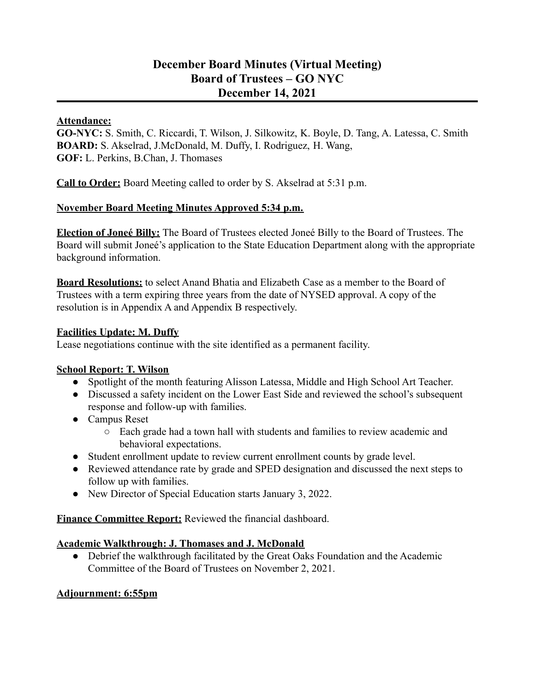## **December Board Minutes (Virtual Meeting) Board of Trustees – GO NYC December 14, 2021**

#### **Attendance:**

**GO-NYC:** S. Smith, C. Riccardi, T. Wilson, J. Silkowitz, K. Boyle, D. Tang, A. Latessa, C. Smith **BOARD:** S. Akselrad, J.McDonald, M. Duffy, I. Rodriguez, H. Wang, **GOF:** L. Perkins, B.Chan, J. Thomases

**Call to Order:** Board Meeting called to order by S. Akselrad at 5:31 p.m.

#### **November Board Meeting Minutes Approved 5:34 p.m.**

**Election of Joneé Billy:** The Board of Trustees elected Joneé Billy to the Board of Trustees. The Board will submit Joneé's application to the State Education Department along with the appropriate background information.

**Board Resolutions:** to select Anand Bhatia and Elizabeth Case as a member to the Board of Trustees with a term expiring three years from the date of NYSED approval. A copy of the resolution is in Appendix A and Appendix B respectively.

#### **Facilities Update: M. Duffy**

Lease negotiations continue with the site identified as a permanent facility.

#### **School Report: T. Wilson**

- Spotlight of the month featuring Alisson Latessa, Middle and High School Art Teacher.
- Discussed a safety incident on the Lower East Side and reviewed the school's subsequent response and follow-up with families.
- Campus Reset
	- Each grade had a town hall with students and families to review academic and behavioral expectations.
- Student enrollment update to review current enrollment counts by grade level.
- Reviewed attendance rate by grade and SPED designation and discussed the next steps to follow up with families.
- New Director of Special Education starts January 3, 2022.

**Finance Committee Report:** Reviewed the financial dashboard.

#### **Academic Walkthrough: J. Thomases and J. McDonald**

● Debrief the walkthrough facilitated by the Great Oaks Foundation and the Academic Committee of the Board of Trustees on November 2, 2021.

#### **Adjournment: 6:55pm**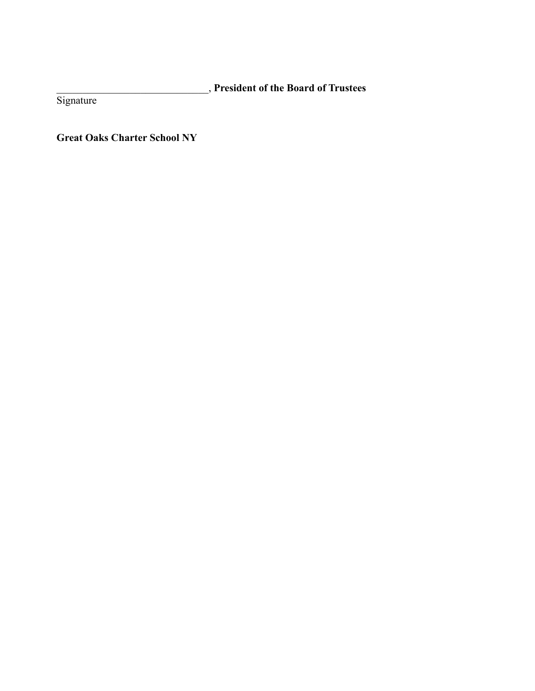\_\_\_\_\_\_\_\_\_\_\_\_\_\_\_\_\_\_\_\_\_\_\_\_\_\_\_\_\_, **President of the Board of Trustees**

Signature

**Great Oaks Charter School NY**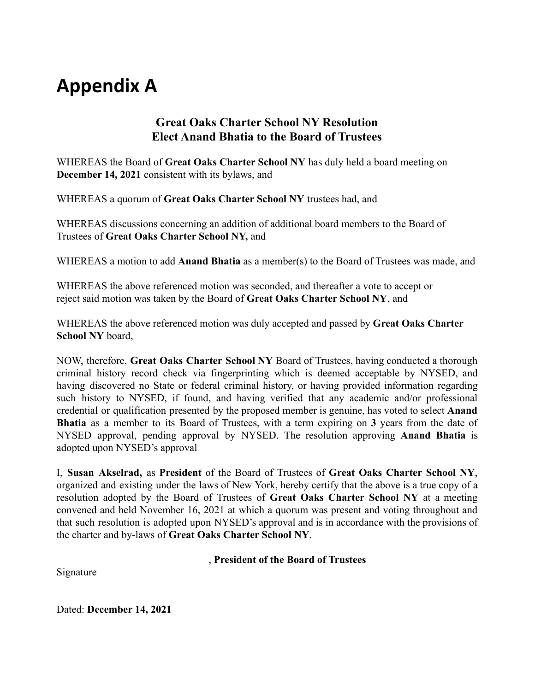# **Appendix A**

## **Great Oaks Charter School NY Resolution Elect Anand Bhatia to the Board of Trustees**

WHEREAS the Board of **Great Oaks Charter School NY** has duly held a board meeting on **December 14, 2021** consistent with its bylaws, and

WHEREAS a quorum of **Great Oaks Charter School NY** trustees had, and

WHEREAS discussions concerning an addition of additional board members to the Board of Trustees of **Great Oaks Charter School NY,** and

WHEREAS a motion to add **Anand Bhatia** as a member(s) to the Board of Trustees was made, and

WHEREAS the above referenced motion was seconded, and thereafter a vote to accept or reject said motion was taken by the Board of **Great Oaks Charter School NY**, and

WHEREAS the above referenced motion was duly accepted and passed by **Great Oaks Charter School NY** board,

NOW, therefore, **Great Oaks Charter School NY** Board of Trustees, having conducted a thorough criminal history record check via fingerprinting which is deemed acceptable by NYSED, and having discovered no State or federal criminal history, or having provided information regarding such history to NYSED, if found, and having verified that any academic and/or professional credential or qualification presented by the proposed member is genuine, has voted to select **Anand Bhatia** as a member to its Board of Trustees, with a term expiring on **3** years from the date of NYSED approval, pending approval by NYSED. The resolution approving **Anand Bhatia** is adopted upon NYSED's approval

I, **Susan Akselrad,** as **President** of the Board of Trustees of **Great Oaks Charter School NY**, organized and existing under the laws of New York, hereby certify that the above is a true copy of a resolution adopted by the Board of Trustees of **Great Oaks Charter School NY** at a meeting convened and held November 16, 2021 at which a quorum was present and voting throughout and that such resolution is adopted upon NYSED's approval and is in accordance with the provisions of the charter and by-laws of **Great Oaks Charter School NY**.

\_\_\_\_\_\_\_\_\_\_\_\_\_\_\_\_\_\_\_\_\_\_\_\_\_\_\_\_\_, **President of the Board of Trustees**

Signature

Dated: **December 14, 2021**